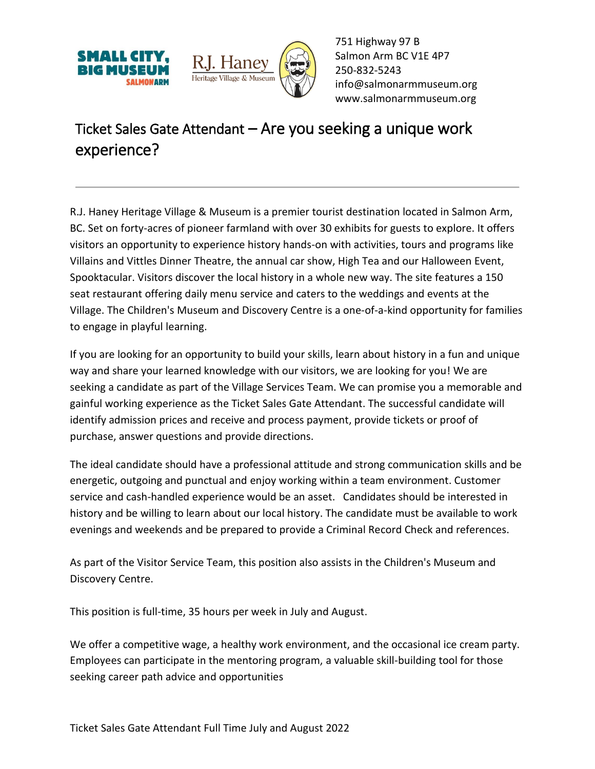



751 Highway 97 B Salmon Arm BC V1E 4P7 250-832-5243 [info@salmonarmmuseum.org](mailto:info@salmonarmmuseum.org) www.salmonarmmuseum.org

## Ticket Sales Gate Attendant – Are you seeking a unique work experience?

R.J. Haney Heritage Village & Museum is a premier tourist destination located in Salmon Arm, BC. Set on forty-acres of pioneer farmland with over 30 exhibits for guests to explore. It offers visitors an opportunity to experience history hands-on with activities, tours and programs like Villains and Vittles Dinner Theatre, the annual car show, High Tea and our Halloween Event, Spooktacular. Visitors discover the local history in a whole new way. The site features a 150 seat restaurant offering daily menu service and caters to the weddings and events at the Village. The Children's Museum and Discovery Centre is a one-of-a-kind opportunity for families to engage in playful learning.

If you are looking for an opportunity to build your skills, learn about history in a fun and unique way and share your learned knowledge with our visitors, we are looking for you! We are seeking a candidate as part of the Village Services Team. We can promise you a memorable and gainful working experience as the Ticket Sales Gate Attendant. The successful candidate will identify admission prices and receive and process payment, provide tickets or proof of purchase, answer questions and provide directions.

The ideal candidate should have a professional attitude and strong communication skills and be energetic, outgoing and punctual and enjoy working within a team environment. Customer service and cash-handled experience would be an asset. Candidates should be interested in history and be willing to learn about our local history. The candidate must be available to work evenings and weekends and be prepared to provide a Criminal Record Check and references.

As part of the Visitor Service Team, this position also assists in the Children's Museum and Discovery Centre.

This position is full-time, 35 hours per week in July and August.

We offer a competitive wage, a healthy work environment, and the occasional ice cream party. Employees can participate in the mentoring program, a valuable skill-building tool for those seeking career path advice and opportunities